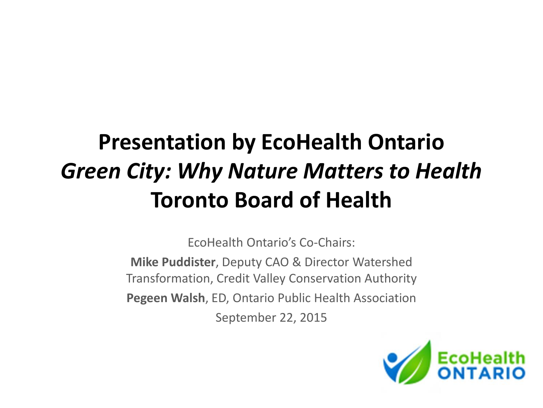### **Presentation by EcoHealth Ontario**  *Green City: Why Nature Matters to Health* **Toronto Board of Health**

EcoHealth Ontario's Co-Chairs:

**Mike Puddister**, Deputy CAO & Director Watershed Transformation, Credit Valley Conservation Authority **Pegeen Walsh**, ED, Ontario Public Health Association September 22, 2015

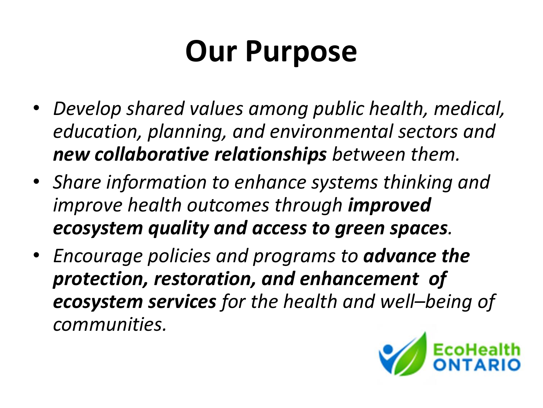### **Our Purpose**

- *Develop shared values among public health, medical, education, planning, and environmental sectors and new collaborative relationships between them.*
- *Share information to enhance systems thinking and improve health outcomes through improved ecosystem quality and access to green spaces.*
- *Encourage policies and programs to advance the protection, restoration, and enhancement of ecosystem services for the health and well–being of communities.*

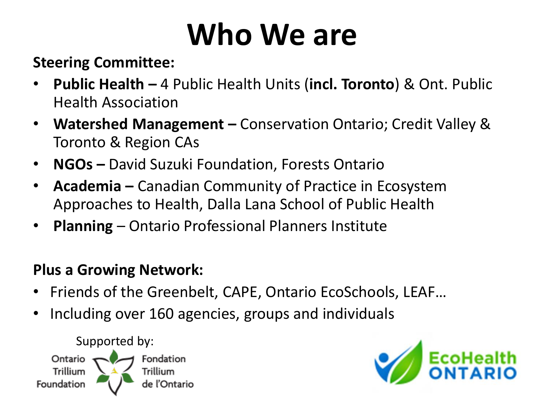## **Who We are**

#### **Steering Committee:**

- **Public Health –** 4 Public Health Units (**incl. Toronto**) & Ont. Public Health Association
- **Watershed Management –** Conservation Ontario; Credit Valley & Toronto & Region CAs
- **NGOs –** David Suzuki Foundation, Forests Ontario
- **Academia –** Canadian Community of Practice in Ecosystem Approaches to Health, Dalla Lana School of Public Health
- **Planning**  Ontario Professional Planners Institute

#### **Plus a Growing Network:**

- Friends of the Greenbelt, CAPE, Ontario EcoSchools, LEAF…
- Including over 160 agencies, groups and individuals



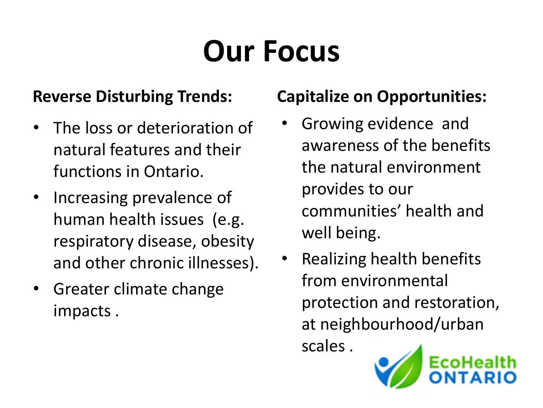## **Our Focus**

#### **Reverse Disturbing Trends:**

- The loss or deterioration of natural features and their functions in Ontario.
- Increasing prevalence of human health issues (e.g. respiratory disease, obesity and other chronic illnesses).
- Greater climate change impacts .

#### **Capitalize on Opportunities:**

- Growing evidence and awareness of the benefits the natural environment provides to our communities' health and well being.
- Realizing health benefits from environmental protection and restoration, at neighbourhood/urban scales .

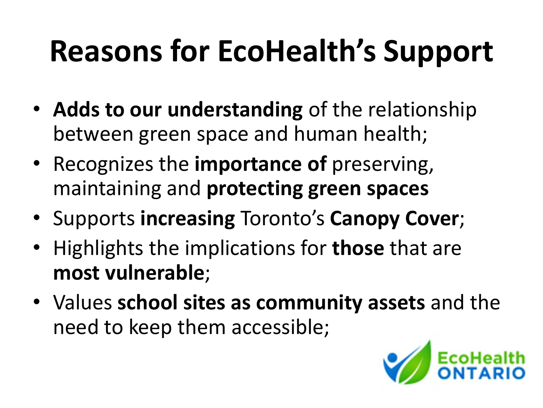## **Reasons for EcoHealth's Support**

- **Adds to our understanding** of the relationship between green space and human health;
- Recognizes the **importance of** preserving, maintaining and **protecting green spaces**
- Supports **increasing** Toronto's **Canopy Cover**;
- Highlights the implications for **those** that are **most vulnerable**;
- Values **school sites as community assets** and the need to keep them accessible;

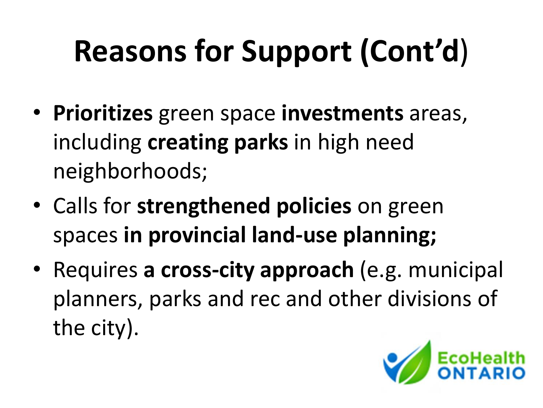# **Reasons for Support (Cont'd**)

- **Prioritizes** green space **investments** areas, including **creating parks** in high need neighborhoods;
- Calls for **strengthened policies** on green spaces **in provincial land-use planning;**
- Requires **a cross-city approach** (e.g. municipal planners, parks and rec and other divisions of the city).